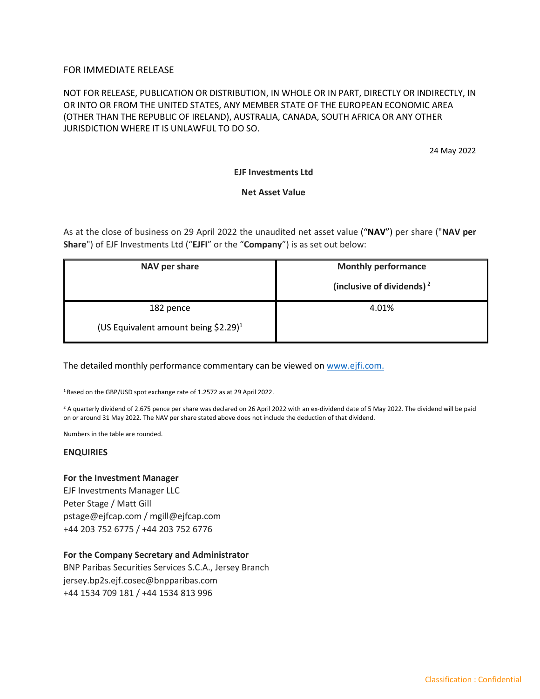# FOR IMMEDIATE RELEASE

# NOT FOR RELEASE, PUBLICATION OR DISTRIBUTION, IN WHOLE OR IN PART, DIRECTLY OR INDIRECTLY, IN OR INTO OR FROM THE UNITED STATES, ANY MEMBER STATE OF THE EUROPEAN ECONOMIC AREA (OTHER THAN THE REPUBLIC OF IRELAND), AUSTRALIA, CANADA, SOUTH AFRICA OR ANY OTHER JURISDICTION WHERE IT IS UNLAWFUL TO DO SO.

24 May 2022

## **EJF Investments Ltd**

## **Net Asset Value**

As at the close of business on 29 April 2022 the unaudited net asset value ("**NAV**") per share ("**NAV per Share**") of EJF Investments Ltd ("**EJFI**" or the "**Company**") is as set out below:

| NAV per share                                    | <b>Monthly performance</b><br>(inclusive of dividends) $2$ |
|--------------------------------------------------|------------------------------------------------------------|
| 182 pence                                        | 4.01%                                                      |
| (US Equivalent amount being \$2.29) <sup>1</sup> |                                                            |

The detailed monthly performance commentary can be viewed o[n www.ejfi.com.](http://www.ejfi.com/)

<sup>1</sup> Based on the GBP/USD spot exchange rate of 1.2572 as at 29 April 2022.

<sup>2</sup> A quarterly dividend of 2.675 pence per share was declared on 26 April 2022 with an ex-dividend date of 5 May 2022. The dividend will be paid on or around 31 May 2022. The NAV per share stated above does not include the deduction of that dividend.

Numbers in the table are rounded.

#### **ENQUIRIES**

**For the Investment Manager**

EJF Investments Manager LLC Peter Stage / Matt Gill pstage@ejfcap.com / mgill@ejfcap.com +44 203 752 6775 / +44 203 752 6776

#### **For the Company Secretary and Administrator**

BNP Paribas Securities Services S.C.A., Jersey Branch jersey.bp2s.ejf.cosec@bnpparibas.com +44 1534 709 181 / +44 1534 813 996